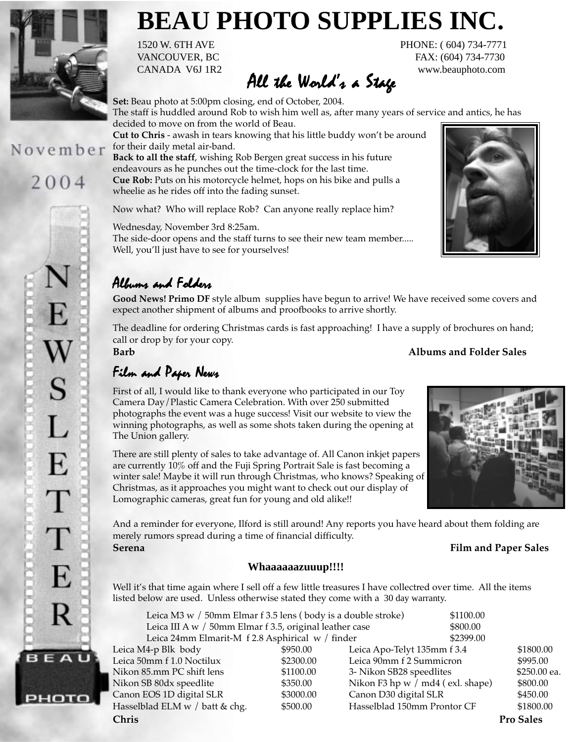

# **BEAU PHOTO SUPPLIES INC.**

for their daily metal air-band.

wheelie as he rides off into the fading sunset.

CANADA V6J 1R2 www.beauphoto.com All the World's a Stage

1520 W. 6TH AVE PHONE: ( 604) 734-7771 VANCOUVER, BC FAX: (604) 734-7730

The staff is huddled around Rob to wish him well as, after many years of service and antics, he has

November

# 2004



Wednesday, November 3rd 8:25am. The side-door opens and the staff turns to see their new team member..... Well, you'll just have to see for yourselves!

**Cut to Chris** - awash in tears knowing that his little buddy won't be around

**Back to all the staff**, wishing Rob Bergen great success in his future endeavours as he punches out the time-clock for the last time.

**Cue Rob:** Puts on his motorcycle helmet, hops on his bike and pulls a

Now what? Who will replace Rob? Can anyone really replace him?

## Albums and Folders

**Good News! Primo DF** style album supplies have begun to arrive! We have received some covers and expect another shipment of albums and proofbooks to arrive shortly.

The deadline for ordering Christmas cards is fast approaching! I have a supply of brochures on hand; call or drop by for your copy.

### Film and Paper News

First of all, I would like to thank everyone who participated in our Toy Camera Day/Plastic Camera Celebration. With over 250 submitted photographs the event was a huge success! Visit our website to view the winning photographs, as well as some shots taken during the opening at The Union gallery.

There are still plenty of sales to take advantage of. All Canon inkjet papers are currently 10% off and the Fuji Spring Portrait Sale is fast becoming a winter sale! Maybe it will run through Christmas, who knows? Speaking of Christmas, as it approaches you might want to check out our display of Lomographic cameras, great fun for young and old alike!!

And a reminder for everyone, Ilford is still around! Any reports you have heard about them folding are merely rumors spread during a time of financial difficulty. **Serena Film and Paper Sales**

#### **Whaaaaaazuuup!!!!**

Well it's that time again where I sell off a few little treasures I have collectred over time. All the items listed below are used. Unless otherwise stated they come with a 30 day warranty.

|                                            | \$1100.00 |                                                                                                                                                                                                                                                                                                                                                                |
|--------------------------------------------|-----------|----------------------------------------------------------------------------------------------------------------------------------------------------------------------------------------------------------------------------------------------------------------------------------------------------------------------------------------------------------------|
|                                            | \$800.00  |                                                                                                                                                                                                                                                                                                                                                                |
|                                            | \$2399.00 |                                                                                                                                                                                                                                                                                                                                                                |
| \$950.00                                   |           | \$1800.00                                                                                                                                                                                                                                                                                                                                                      |
| \$2300.00                                  |           | \$995.00                                                                                                                                                                                                                                                                                                                                                       |
| \$1100.00                                  |           | \$250.00 ea.                                                                                                                                                                                                                                                                                                                                                   |
| \$350.00                                   |           | \$800.00                                                                                                                                                                                                                                                                                                                                                       |
| \$3000.00                                  |           | \$450.00                                                                                                                                                                                                                                                                                                                                                       |
| Hasselblad ELM w / batt & chg.<br>\$500.00 |           | \$1800.00                                                                                                                                                                                                                                                                                                                                                      |
|                                            |           | <b>Pro Sales</b>                                                                                                                                                                                                                                                                                                                                               |
|                                            |           | Leica M3 w / 50mm Elmar f 3.5 lens (body is a double stroke)<br>Leica III A w / 50mm Elmar f 3.5, original leather case<br>Leica 24mm Elmarit-M f 2.8 Asphirical w / finder<br>Leica Apo-Telyt 135mm f 3.4<br>Leica 90mm f 2 Summicron<br>3- Nikon SB28 speedlites<br>Nikon F3 hp w / md4 (exl. shape)<br>Canon D30 digital SLR<br>Hasselblad 150mm Prontor CF |

### **Barb Albums and Folder Sales**